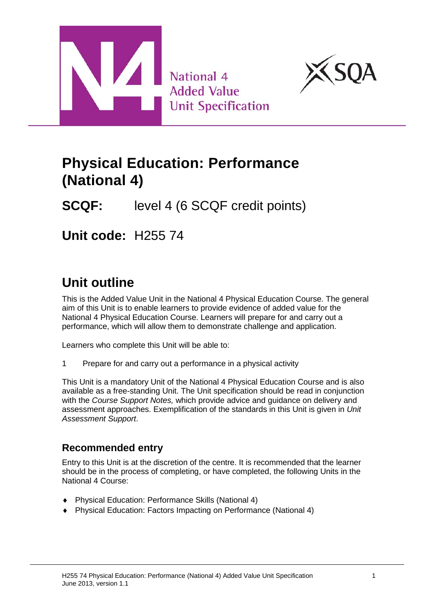



# **Physical Education: Performance (National 4)**

**SCQF:** level 4 (6 SCQF credit points)

**Unit code:** H255 74

# **Unit outline**

This is the Added Value Unit in the National 4 Physical Education Course. The general aim of this Unit is to enable learners to provide evidence of added value for the National 4 Physical Education Course. Learners will prepare for and carry out a performance, which will allow them to demonstrate challenge and application.

Learners who complete this Unit will be able to:

1 Prepare for and carry out a performance in a physical activity

This Unit is a mandatory Unit of the National 4 Physical Education Course and is also available as a free-standing Unit. The Unit specification should be read in conjunction with the *Course Support Notes,* which provide advice and guidance on delivery and assessment approaches. Exemplification of the standards in this Unit is given in *Unit Assessment Support*.

### **Recommended entry**

Entry to this Unit is at the discretion of the centre. It is recommended that the learner should be in the process of completing, or have completed, the following Units in the National 4 Course:

- ♦ Physical Education: Performance Skills (National 4)
- ♦ Physical Education: Factors Impacting on Performance (National 4)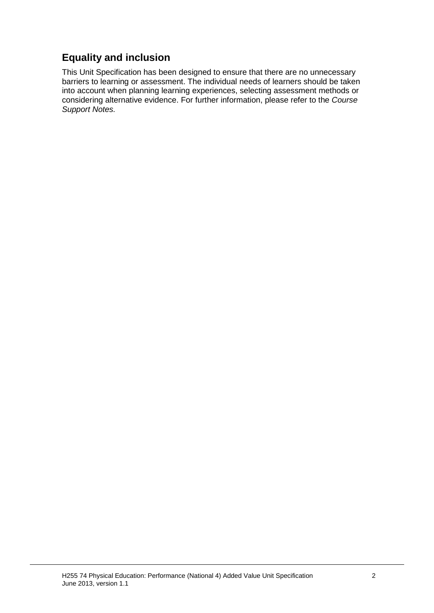### **Equality and inclusion**

This Unit Specification has been designed to ensure that there are no unnecessary barriers to learning or assessment. The individual needs of learners should be taken into account when planning learning experiences, selecting assessment methods or considering alternative evidence. For further information, please refer to the *Course Support Notes.*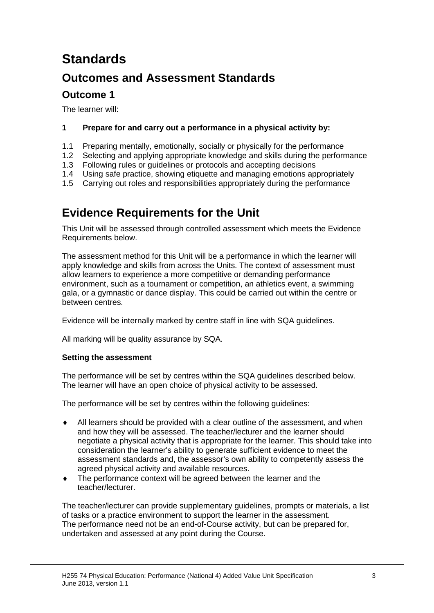# **Standards**

## **Outcomes and Assessment Standards**

### **Outcome 1**

The learner will:

#### **1 Prepare for and carry out a performance in a physical activity by:**

- 1.1 Preparing mentally, emotionally, socially or physically for the performance
- 1.2 Selecting and applying appropriate knowledge and skills during the performance
- 1.3 Following rules or guidelines or protocols and accepting decisions
- 1.4 Using safe practice, showing etiquette and managing emotions appropriately
- 1.5 Carrying out roles and responsibilities appropriately during the performance

## **Evidence Requirements for the Unit**

This Unit will be assessed through controlled assessment which meets the Evidence Requirements below.

The assessment method for this Unit will be a performance in which the learner will apply knowledge and skills from across the Units. The context of assessment must allow learners to experience a more competitive or demanding performance environment, such as a tournament or competition, an athletics event, a swimming gala, or a gymnastic or dance display. This could be carried out within the centre or between centres.

Evidence will be internally marked by centre staff in line with SQA guidelines.

All marking will be quality assurance by SQA.

#### **Setting the assessment**

The performance will be set by centres within the SQA guidelines described below. The learner will have an open choice of physical activity to be assessed.

The performance will be set by centres within the following guidelines:

- All learners should be provided with a clear outline of the assessment, and when and how they will be assessed. The teacher/lecturer and the learner should negotiate a physical activity that is appropriate for the learner. This should take into consideration the learner's ability to generate sufficient evidence to meet the assessment standards and, the assessor's own ability to competently assess the agreed physical activity and available resources.
- ♦ The performance context will be agreed between the learner and the teacher/lecturer.

The teacher/lecturer can provide supplementary guidelines, prompts or materials, a list of tasks or a practice environment to support the learner in the assessment. The performance need not be an end-of-Course activity, but can be prepared for, undertaken and assessed at any point during the Course.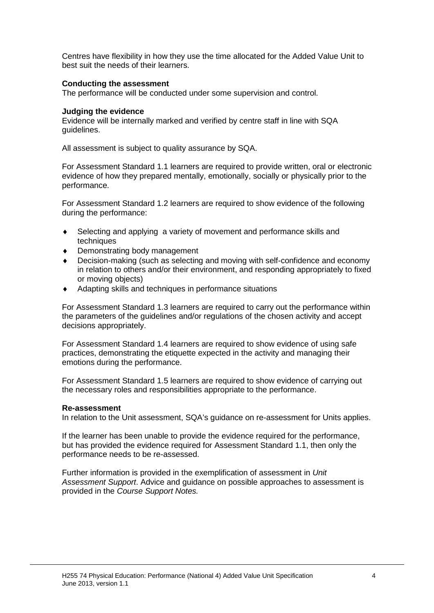Centres have flexibility in how they use the time allocated for the Added Value Unit to best suit the needs of their learners.

#### **Conducting the assessment**

The performance will be conducted under some supervision and control.

#### **Judging the evidence**

Evidence will be internally marked and verified by centre staff in line with SQA guidelines.

All assessment is subject to quality assurance by SQA.

For Assessment Standard 1.1 learners are required to provide written, oral or electronic evidence of how they prepared mentally, emotionally, socially or physically prior to the performance.

For Assessment Standard 1.2 learners are required to show evidence of the following during the performance:

- ♦ Selecting and applying a variety of movement and performance skills and techniques
- Demonstrating body management
- Decision-making (such as selecting and moving with self-confidence and economy in relation to others and/or their environment, and responding appropriately to fixed or moving objects)
- Adapting skills and techniques in performance situations

For Assessment Standard 1.3 learners are required to carry out the performance within the parameters of the guidelines and/or regulations of the chosen activity and accept decisions appropriately.

For Assessment Standard 1.4 learners are required to show evidence of using safe practices, demonstrating the etiquette expected in the activity and managing their emotions during the performance.

For Assessment Standard 1.5 learners are required to show evidence of carrying out the necessary roles and responsibilities appropriate to the performance.

#### **Re-assessment**

In relation to the Unit assessment, SQA's guidance on re-assessment for Units applies.

If the learner has been unable to provide the evidence required for the performance, but has provided the evidence required for Assessment Standard 1.1, then only the performance needs to be re-assessed.

Further information is provided in the exemplification of assessment in *Unit Assessment Support*. Advice and guidance on possible approaches to assessment is provided in the *Course Support Notes.*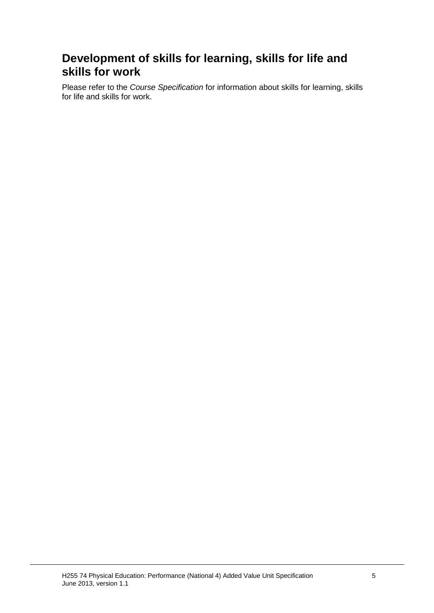## **Development of skills for learning, skills for life and skills for work**

Please refer to the *Course Specification* for information about skills for learning, skills for life and skills for work.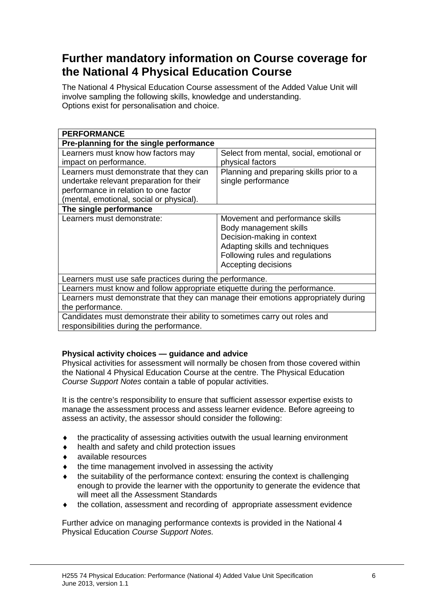## **Further mandatory information on Course coverage for the National 4 Physical Education Course**

The National 4 Physical Education Course assessment of the Added Value Unit will involve sampling the following skills, knowledge and understanding. Options exist for personalisation and choice.

| <b>PERFORMANCE</b>                                                                 |                                          |  |  |
|------------------------------------------------------------------------------------|------------------------------------------|--|--|
| Pre-planning for the single performance                                            |                                          |  |  |
| Learners must know how factors may                                                 | Select from mental, social, emotional or |  |  |
| impact on performance.                                                             | physical factors                         |  |  |
| Learners must demonstrate that they can                                            | Planning and preparing skills prior to a |  |  |
| undertake relevant preparation for their                                           | single performance                       |  |  |
| performance in relation to one factor                                              |                                          |  |  |
| (mental, emotional, social or physical).                                           |                                          |  |  |
| The single performance                                                             |                                          |  |  |
| Learners must demonstrate:                                                         | Movement and performance skills          |  |  |
|                                                                                    | Body management skills                   |  |  |
|                                                                                    | Decision-making in context               |  |  |
|                                                                                    | Adapting skills and techniques           |  |  |
|                                                                                    | Following rules and regulations          |  |  |
|                                                                                    | Accepting decisions                      |  |  |
| Learners must use safe practices during the performance.                           |                                          |  |  |
| Learners must know and follow appropriate etiquette during the performance.        |                                          |  |  |
| Learners must demonstrate that they can manage their emotions appropriately during |                                          |  |  |
| the performance.                                                                   |                                          |  |  |
| Candidates must demonstrate their ability to sometimes carry out roles and         |                                          |  |  |
| responsibilities during the performance.                                           |                                          |  |  |

#### **Physical activity choices — guidance and advice**

Physical activities for assessment will normally be chosen from those covered within the National 4 Physical Education Course at the centre. The Physical Education *Course Support Notes* contain a table of popular activities.

It is the centre's responsibility to ensure that sufficient assessor expertise exists to manage the assessment process and assess learner evidence. Before agreeing to assess an activity, the assessor should consider the following:

- $\bullet$  the practicality of assessing activities outwith the usual learning environment
- ♦ health and safety and child protection issues
- available resources
- $\bullet$  the time management involved in assessing the activity
- the suitability of the performance context: ensuring the context is challenging enough to provide the learner with the opportunity to generate the evidence that will meet all the Assessment Standards
- the collation, assessment and recording of appropriate assessment evidence

Further advice on managing performance contexts is provided in the National 4 Physical Education *Course Support Notes.*